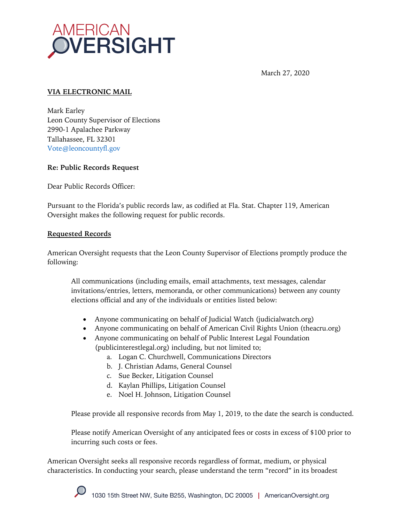

March 27, 2020

## **VIA ELECTRONIC MAIL**

Mark Earley Leon County Supervisor of Elections 2990-1 Apalachee Parkway Tallahassee, FL 32301 Vote@leoncountyfl.gov

## **Re: Public Records Request**

Dear Public Records Officer:

Pursuant to the Florida's public records law, as codified at Fla. Stat. Chapter 119, American Oversight makes the following request for public records.

## **Requested Records**

American Oversight requests that the Leon County Supervisor of Elections promptly produce the following:

All communications (including emails, email attachments, text messages, calendar invitations/entries, letters, memoranda, or other communications) between any county elections official and any of the individuals or entities listed below:

- Anyone communicating on behalf of Judicial Watch (judicialwatch.org)
- Anyone communicating on behalf of American Civil Rights Union (theacru.org)
- Anyone communicating on behalf of Public Interest Legal Foundation (publicinterestlegal.org) including, but not limited to;
	- a. Logan C. Churchwell, Communications Directors
	- b. J. Christian Adams, General Counsel
	- c. Sue Becker, Litigation Counsel
	- d. Kaylan Phillips, Litigation Counsel
	- e. Noel H. Johnson, Litigation Counsel

Please provide all responsive records from May 1, 2019, to the date the search is conducted.

Please notify American Oversight of any anticipated fees or costs in excess of \$100 prior to incurring such costs or fees.

American Oversight seeks all responsive records regardless of format, medium, or physical characteristics. In conducting your search, please understand the term "record" in its broadest

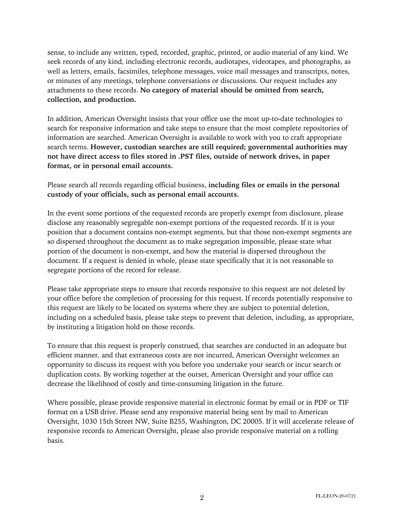sense, to include any written, typed, recorded, graphic, printed, or audio material of any kind. We seek records of any kind, including electronic records, audiotapes, videotapes, and photographs, as well as letters, emails, facsimiles, telephone messages, voice mail messages and transcripts, notes, or minutes of any meetings, telephone conversations or discussions. Our request includes any attachments to these records. **No category of material should be omitted from search, collection, and production.**

In addition, American Oversight insists that your office use the most up-to-date technologies to search for responsive information and take steps to ensure that the most complete repositories of information are searched. American Oversight is available to work with you to craft appropriate search terms. **However, custodian searches are still required; governmental authorities may not have direct access to files stored in .PST files, outside of network drives, in paper format, or in personal email accounts.**

Please search all records regarding official business, **including files or emails in the personal custody of your officials, such as personal email accounts.**

In the event some portions of the requested records are properly exempt from disclosure, please disclose any reasonably segregable non-exempt portions of the requested records. If it is your position that a document contains non-exempt segments, but that those non-exempt segments are so dispersed throughout the document as to make segregation impossible, please state what portion of the document is non-exempt, and how the material is dispersed throughout the document. If a request is denied in whole, please state specifically that it is not reasonable to segregate portions of the record for release.

Please take appropriate steps to ensure that records responsive to this request are not deleted by your office before the completion of processing for this request. If records potentially responsive to this request are likely to be located on systems where they are subject to potential deletion, including on a scheduled basis, please take steps to prevent that deletion, including, as appropriate, by instituting a litigation hold on those records.

To ensure that this request is properly construed, that searches are conducted in an adequate but efficient manner, and that extraneous costs are not incurred, American Oversight welcomes an opportunity to discuss its request with you before you undertake your search or incur search or duplication costs. By working together at the outset, American Oversight and your office can decrease the likelihood of costly and time-consuming litigation in the future.

Where possible, please provide responsive material in electronic format by email or in PDF or TIF format on a USB drive. Please send any responsive material being sent by mail to American Oversight, 1030 15th Street NW, Suite B255, Washington, DC 20005. If it will accelerate release of responsive records to American Oversight, please also provide responsive material on a rolling basis.